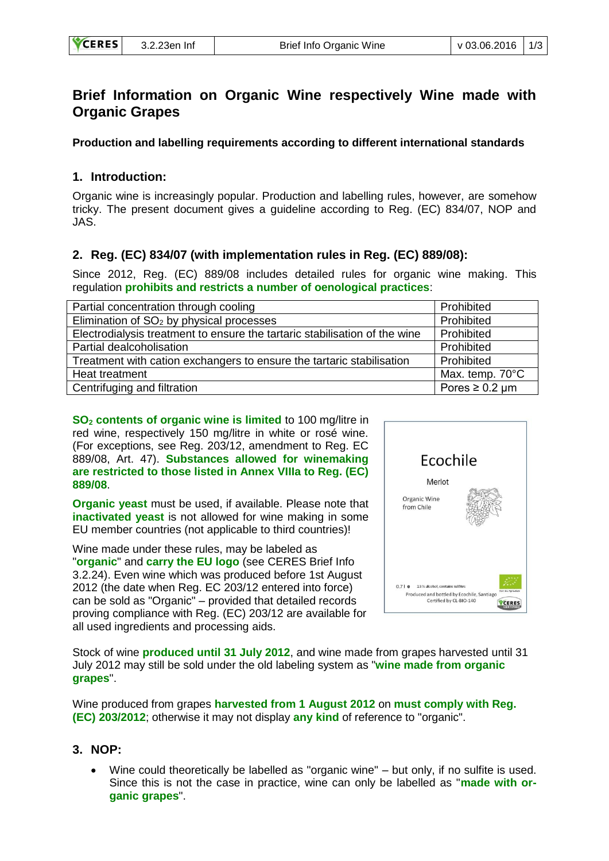# **Brief Information on Organic Wine respectively Wine made with Organic Grapes**

**Production and labelling requirements according to different international standards**

#### **1. Introduction:**

Organic wine is increasingly popular. Production and labelling rules, however, are somehow tricky. The present document gives a guideline according to Reg. (EC) 834/07, NOP and JAS.

### **2. Reg. (EC) 834/07 (with implementation rules in Reg. (EC) 889/08):**

Since 2012, Reg. (EC) 889/08 includes detailed rules for organic wine making. This regulation **prohibits and restricts a number of oenological practices**:

| Partial concentration through cooling                                      | Prohibited          |
|----------------------------------------------------------------------------|---------------------|
| Elimination of $SO2$ by physical processes                                 | Prohibited          |
| Electrodialysis treatment to ensure the tartaric stabilisation of the wine | Prohibited          |
| Partial dealcoholisation                                                   | Prohibited          |
| Treatment with cation exchangers to ensure the tartaric stabilisation      | Prohibited          |
| Heat treatment                                                             | Max. temp. 70°C     |
| Centrifuging and filtration                                                | Pores $\geq 0.2$ µm |

**SO<sup>2</sup> contents of organic wine is limited** to 100 mg/litre in red wine, respectively 150 mg/litre in white or rosé wine. (For exceptions, see Reg. 203/12, amendment to Reg. EC 889/08, Art. 47). **Substances allowed for winemaking are restricted to those listed in Annex VIIIa to Reg. (EC) 889/08**.

**Organic yeast** must be used, if available. Please note that **inactivated yeast** is not allowed for wine making in some EU member countries (not applicable to third countries)!

Wine made under these rules, may be labeled as "**organic**" and **carry the EU logo** (see CERES Brief Info 3.2.24). Even wine which was produced before 1st August 2012 (the date when Reg. EC 203/12 entered into force) can be sold as "Organic" – provided that detailed records proving compliance with Reg. (EC) 203/12 are available for all used ingredients and processing aids.



Stock of wine **produced until 31 July 2012**, and wine made from grapes harvested until 31 July 2012 may still be sold under the old labeling system as "**wine made from organic grapes**".

Wine produced from grapes **harvested from 1 August 2012** on **must comply with Reg. (EC) 203/2012**; otherwise it may not display **any kind** of reference to "organic".

#### **3. NOP:**

 Wine could theoretically be labelled as "organic wine" – but only, if no sulfite is used. Since this is not the case in practice, wine can only be labelled as "**made with organic grapes**".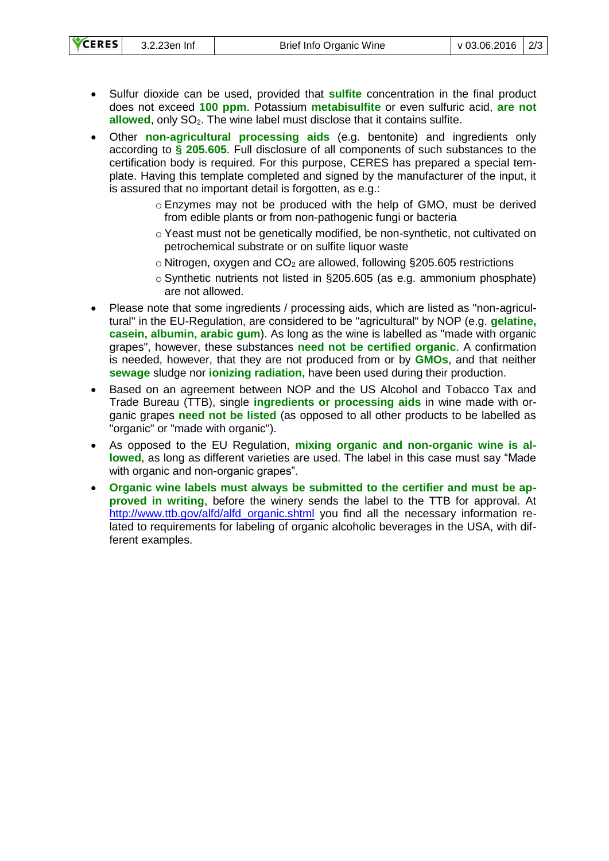| <b>VCERES</b> | 3.2.23en Inf |
|---------------|--------------|
|---------------|--------------|

- Sulfur dioxide can be used, provided that **sulfite** concentration in the final product does not exceed **100 ppm**. Potassium **metabisulfite** or even sulfuric acid, **are not allowed**, only SO<sub>2</sub>. The wine label must disclose that it contains sulfite.
- Other **non-agricultural processing aids** (e.g. bentonite) and ingredients only according to **§ 205.605**. Full disclosure of all components of such substances to the certification body is required. For this purpose, CERES has prepared a special template. Having this template completed and signed by the manufacturer of the input, it is assured that no important detail is forgotten, as e.g.:
	- o Enzymes may not be produced with the help of GMO, must be derived from edible plants or from non-pathogenic fungi or bacteria
	- o Yeast must not be genetically modified, be non-synthetic, not cultivated on petrochemical substrate or on sulfite liquor waste
	- $\circ$  Nitrogen, oxygen and CO<sub>2</sub> are allowed, following §205.605 restrictions
	- o Synthetic nutrients not listed in §205.605 (as e.g. ammonium phosphate) are not allowed.
- Please note that some ingredients / processing aids, which are listed as "non-agricultural" in the EU-Regulation, are considered to be "agricultural" by NOP (e.g. **gelatine, casein, albumin, arabic gum**). As long as the wine is labelled as "made with organic grapes", however, these substances **need not be certified organic**. A confirmation is needed, however, that they are not produced from or by **GMOs**, and that neither **sewage** sludge nor **ionizing radiation,** have been used during their production.
- Based on an agreement between NOP and the US Alcohol and Tobacco Tax and Trade Bureau (TTB), single **ingredients or processing aids** in wine made with organic grapes **need not be listed** (as opposed to all other products to be labelled as "organic" or "made with organic").
- As opposed to the EU Regulation, **mixing organic and non-organic wine is allowed**, as long as different varieties are used. The label in this case must say "Made with organic and non-organic grapes".
- **Organic wine labels must always be submitted to the certifier and must be approved in writing**, before the winery sends the label to the TTB for approval. At [http://www.ttb.gov/alfd/alfd\\_organic.shtml](http://www.ttb.gov/alfd/alfd_organic.shtml) you find all the necessary information related to requirements for labeling of organic alcoholic beverages in the USA, with different examples.